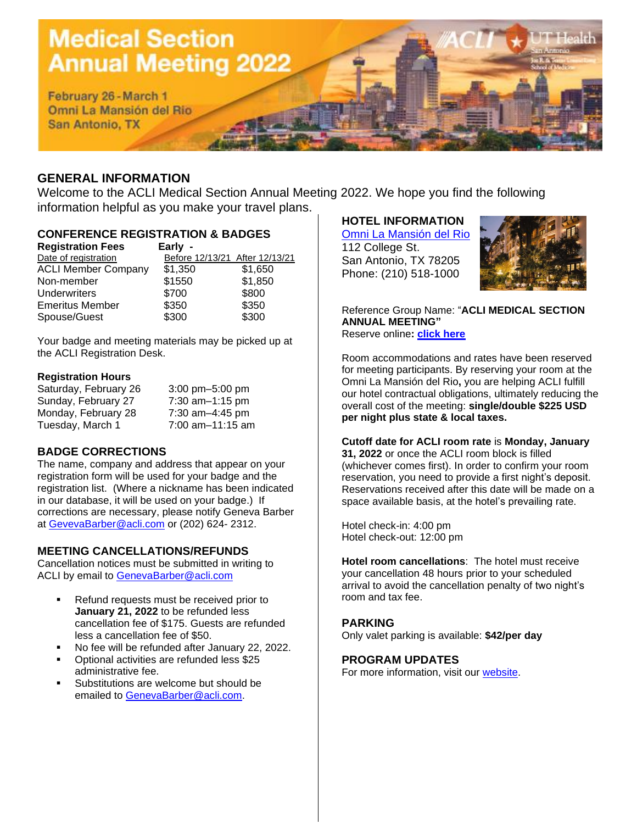# **Medical Section Annual Meeting 2022**

February 26 - March 1 Omni La Mansión del Rio San Antonio, TX

# **GENERAL INFORMATION**

Welcome to the ACLI Medical Section Annual Meeting 2022. We hope you find the following information helpful as you make your travel plans.

# **CONFERENCE REGISTRATION & BADGES**

| <b>Registration Fees</b>   | Early -                        |         |
|----------------------------|--------------------------------|---------|
| Date of registration       | Before 12/13/21 After 12/13/21 |         |
| <b>ACLI Member Company</b> | \$1,350                        | \$1,650 |
| Non-member                 | \$1550                         | \$1,850 |
| <b>Underwriters</b>        | \$700                          | \$800   |
| <b>Emeritus Member</b>     | \$350                          | \$350   |
| Spouse/Guest               | \$300                          | \$300   |

Your badge and meeting materials may be picked up at the ACLI Registration Desk.

### **Registration Hours**

| Saturday, February 26 | $3:00$ pm $-5:00$ pm |
|-----------------------|----------------------|
| Sunday, February 27   | 7:30 $am-1:15$ pm    |
| Monday, February 28   | 7:30 am-4:45 pm      |
| Tuesday, March 1      | 7:00 am-11:15 am     |

# **BADGE CORRECTIONS**

The name, company and address that appear on your registration form will be used for your badge and the registration list. (Where a nickname has been indicated in our database, it will be used on your badge.) If corrections are necessary, please notify Geneva Barber at [GevevaBarber@acli.com](mailto:GevevaBarber@acli.com) or (202) 624- 2312.

## **MEETING CANCELLATIONS/REFUNDS**

Cancellation notices must be submitted in writing to ACLI by email to [GenevaBarber@acli.com](mailto:GenevaBarber@acli.com)

- Refund requests must be received prior to **January 21, 2022** to be refunded less cancellation fee of \$175. Guests are refunded less a cancellation fee of \$50.
- No fee will be refunded after January 22, 2022.
- Optional activities are refunded less \$25 administrative fee.
- Substitutions are welcome but should be emailed to [GenevaBarber@acli.com.](mailto:GenevaBarber@acli.com)

# **HOTEL INFORMATION**

[Omni La Mansión del Rio](https://www.omnihotels.com/hotels/san-antonio-la-mansion-del-rio/meetings/2022-acli-medical-section-annual-meeting-02242022) 112 College St. San Antonio, TX 78205 Phone: (210) 518-1000



Reference Group Name: "**ACLI MEDICAL SECTION ANNUAL MEETING"** Reserve online**: [click here](https://www.omnihotels.com/hotels/san-antonio-la-mansion-del-rio/meetings/2022-acli-medical-section-annual-meeting-02242022)**

Room accommodations and rates have been reserved for meeting participants. By reserving your room at the Omni La Mansión del Rio**,** you are helping ACLI fulfill our hotel contractual obligations, ultimately reducing the overall cost of the meeting: **single/double \$225 USD per night plus state & local taxes.**

#### **Cutoff date for ACLI room rate** is **Monday, January**

**31, 2022** or once the ACLI room block is filled (whichever comes first). In order to confirm your room reservation, you need to provide a first night's deposit. Reservations received after this date will be made on a space available basis, at the hotel's prevailing rate.

Hotel check-in: 4:00 pm Hotel check-out: 12:00 pm

**Hotel room cancellations**: The hotel must receive your cancellation 48 hours prior to your scheduled arrival to avoid the cancellation penalty of two night's room and tax fee.

## **PARKING**

Only valet parking is available: **\$42/per day**

## **PROGRAM UPDATES**

For more information, visit our [website.](https://www.acli.com/events/all-events/med-2022)